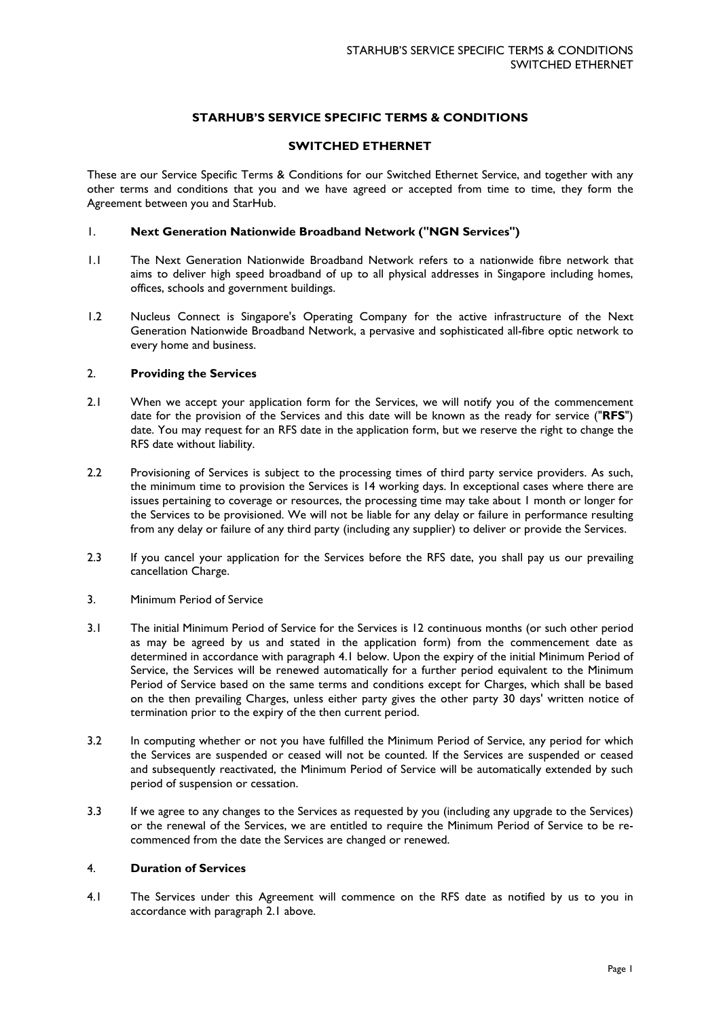# **STARHUB'S SERVICE SPECIFIC TERMS & CONDITIONS**

# **SWITCHED ETHERNET**

These are our Service Specific Terms & Conditions for our Switched Ethernet Service, and together with any other terms and conditions that you and we have agreed or accepted from time to time, they form the Agreement between you and StarHub.

# 1. **Next Generation Nationwide Broadband Network ("NGN Services")**

- 1.1 The Next Generation Nationwide Broadband Network refers to a nationwide fibre network that aims to deliver high speed broadband of up to all physical addresses in Singapore including homes, offices, schools and government buildings.
- 1.2 Nucleus Connect is Singapore's Operating Company for the active infrastructure of the Next Generation Nationwide Broadband Network, a pervasive and sophisticated all-fibre optic network to every home and business.

# 2. **Providing the Services**

- 2.1 When we accept your application form for the Services, we will notify you of the commencement date for the provision of the Services and this date will be known as the ready for service ("**RFS**") date. You may request for an RFS date in the application form, but we reserve the right to change the RFS date without liability.
- 2.2 Provisioning of Services is subject to the processing times of third party service providers. As such, the minimum time to provision the Services is 14 working days. In exceptional cases where there are issues pertaining to coverage or resources, the processing time may take about 1 month or longer for the Services to be provisioned. We will not be liable for any delay or failure in performance resulting from any delay or failure of any third party (including any supplier) to deliver or provide the Services.
- 2.3 If you cancel your application for the Services before the RFS date, you shall pay us our prevailing cancellation Charge.
- 3. Minimum Period of Service
- 3.1 The initial Minimum Period of Service for the Services is 12 continuous months (or such other period as may be agreed by us and stated in the application form) from the commencement date as determined in accordance with paragraph 4.1 below. Upon the expiry of the initial Minimum Period of Service, the Services will be renewed automatically for a further period equivalent to the Minimum Period of Service based on the same terms and conditions except for Charges, which shall be based on the then prevailing Charges, unless either party gives the other party 30 days' written notice of termination prior to the expiry of the then current period.
- 3.2 In computing whether or not you have fulfilled the Minimum Period of Service, any period for which the Services are suspended or ceased will not be counted. If the Services are suspended or ceased and subsequently reactivated, the Minimum Period of Service will be automatically extended by such period of suspension or cessation.
- 3.3 If we agree to any changes to the Services as requested by you (including any upgrade to the Services) or the renewal of the Services, we are entitled to require the Minimum Period of Service to be recommenced from the date the Services are changed or renewed.

### 4. **Duration of Services**

4.1 The Services under this Agreement will commence on the RFS date as notified by us to you in accordance with paragraph 2.1 above.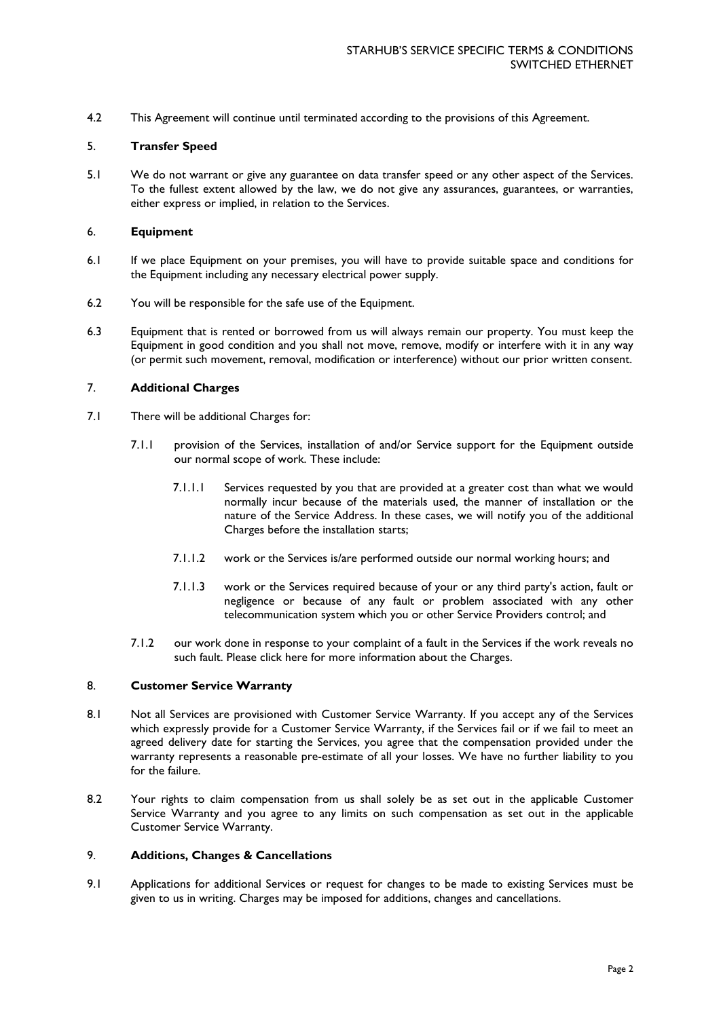4.2 This Agreement will continue until terminated according to the provisions of this Agreement.

### 5. **Transfer Speed**

5.1 We do not warrant or give any guarantee on data transfer speed or any other aspect of the Services. To the fullest extent allowed by the law, we do not give any assurances, guarantees, or warranties, either express or implied, in relation to the Services.

## 6. **Equipment**

- 6.1 If we place Equipment on your premises, you will have to provide suitable space and conditions for the Equipment including any necessary electrical power supply.
- 6.2 You will be responsible for the safe use of the Equipment.
- 6.3 Equipment that is rented or borrowed from us will always remain our property. You must keep the Equipment in good condition and you shall not move, remove, modify or interfere with it in any way (or permit such movement, removal, modification or interference) without our prior written consent.

# 7. **Additional Charges**

- 7.1 There will be additional Charges for:
	- 7.1.1 provision of the Services, installation of and/or Service support for the Equipment outside our normal scope of work. These include:
		- 7.1.1.1 Services requested by you that are provided at a greater cost than what we would normally incur because of the materials used, the manner of installation or the nature of the Service Address. In these cases, we will notify you of the additional Charges before the installation starts;
		- 7.1.1.2 work or the Services is/are performed outside our normal working hours; and
		- 7.1.1.3 work or the Services required because of your or any third party's action, fault or negligence or because of any fault or problem associated with any other telecommunication system which you or other Service Providers control; and
	- 7.1.2 our work done in response to your complaint of a fault in the Services if the work reveals no such fault. Please [click here](https://www.starhub.com/content/dam/starhub/2015/business/support/network-hosting/term-conditions/field-engineer-charges.pdf) for more information about the Charges.

### 8. **Customer Service Warranty**

- 8.1 Not all Services are provisioned with Customer Service Warranty. If you accept any of the Services which expressly provide for a Customer Service Warranty, if the Services fail or if we fail to meet an agreed delivery date for starting the Services, you agree that the compensation provided under the warranty represents a reasonable pre-estimate of all your losses. We have no further liability to you for the failure.
- 8.2 Your rights to claim compensation from us shall solely be as set out in the applicable Customer Service Warranty and you agree to any limits on such compensation as set out in the applicable Customer Service Warranty.

### 9. **Additions, Changes & Cancellations**

9.1 Applications for additional Services or request for changes to be made to existing Services must be given to us in writing. Charges may be imposed for additions, changes and cancellations.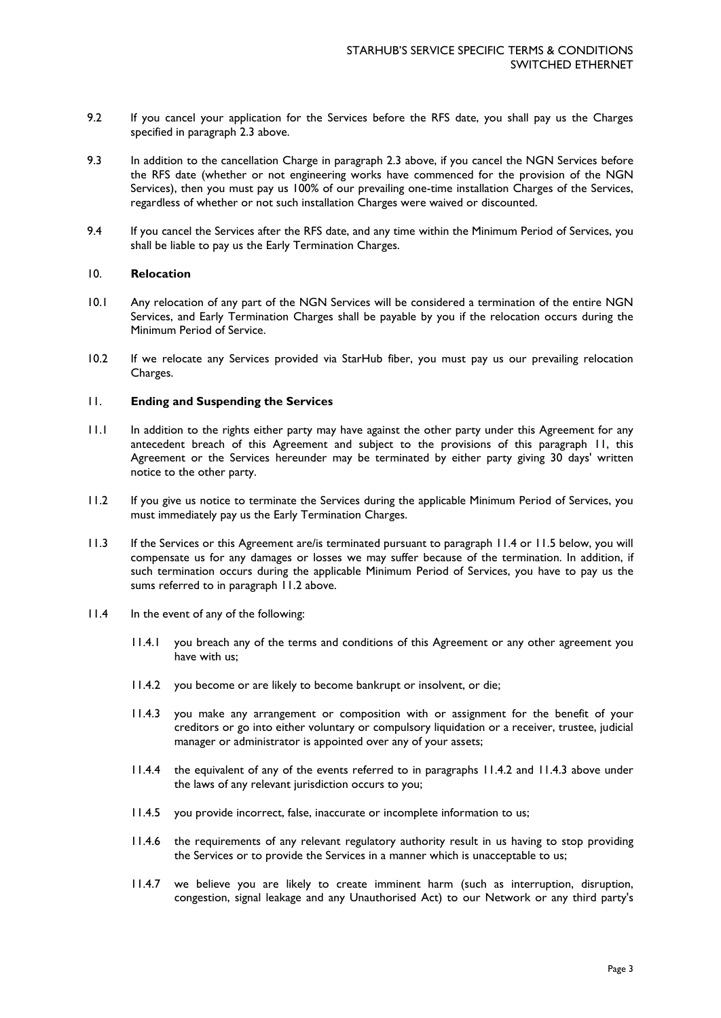- 9.2 If you cancel your application for the Services before the RFS date, you shall pay us the Charges specified in paragraph 2.3 above.
- 9.3 In addition to the cancellation Charge in paragraph 2.3 above, if you cancel the NGN Services before the RFS date (whether or not engineering works have commenced for the provision of the NGN Services), then you must pay us 100% of our prevailing one-time installation Charges of the Services, regardless of whether or not such installation Charges were waived or discounted.
- 9.4 If you cancel the Services after the RFS date, and any time within the Minimum Period of Services, you shall be liable to pay us the Early Termination Charges.

### 10. **Relocation**

- 10.1 Any relocation of any part of the NGN Services will be considered a termination of the entire NGN Services, and Early Termination Charges shall be payable by you if the relocation occurs during the Minimum Period of Service.
- 10.2 If we relocate any Services provided via StarHub fiber, you must pay us our prevailing relocation Charges.

### 11. **Ending and Suspending the Services**

- 11.1 In addition to the rights either party may have against the other party under this Agreement for any antecedent breach of this Agreement and subject to the provisions of this paragraph 11, this Agreement or the Services hereunder may be terminated by either party giving 30 days' written notice to the other party.
- 11.2 If you give us notice to terminate the Services during the applicable Minimum Period of Services, you must immediately pay us the Early Termination Charges.
- 11.3 If the Services or this Agreement are/is terminated pursuant to paragraph 11.4 or 11.5 below, you will compensate us for any damages or losses we may suffer because of the termination. In addition, if such termination occurs during the applicable Minimum Period of Services, you have to pay us the sums referred to in paragraph 11.2 above.
- 11.4 In the event of any of the following:
	- 11.4.1 you breach any of the terms and conditions of this Agreement or any other agreement you have with us;
	- 11.4.2 you become or are likely to become bankrupt or insolvent, or die;
	- 11.4.3 you make any arrangement or composition with or assignment for the benefit of your creditors or go into either voluntary or compulsory liquidation or a receiver, trustee, judicial manager or administrator is appointed over any of your assets;
	- 11.4.4 the equivalent of any of the events referred to in paragraphs 11.4.2 and 11.4.3 above under the laws of any relevant jurisdiction occurs to you;
	- 11.4.5 you provide incorrect, false, inaccurate or incomplete information to us;
	- 11.4.6 the requirements of any relevant regulatory authority result in us having to stop providing the Services or to provide the Services in a manner which is unacceptable to us;
	- 11.4.7 we believe you are likely to create imminent harm (such as interruption, disruption, congestion, signal leakage and any Unauthorised Act) to our Network or any third party's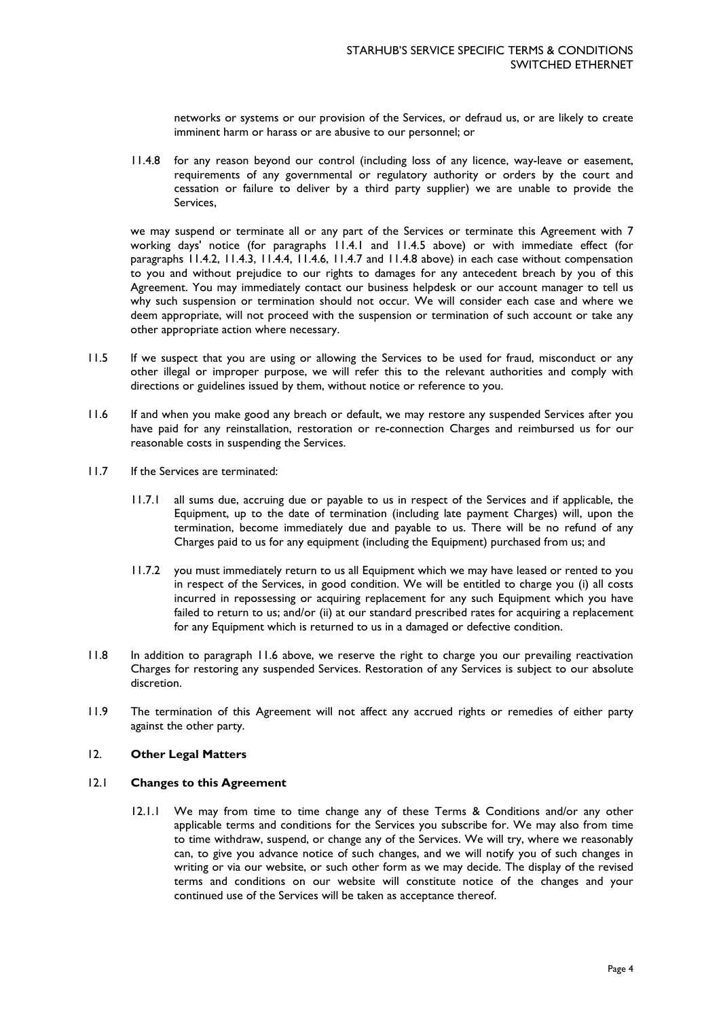networks or systems or our provision of the Services, or defraud us, or are likely to create imminent harm or harass or are abusive to our personnel; or

11.4.8 for any reason beyond our control (including loss of any licence, way-leave or easement, requirements of any governmental or regulatory authority or orders by the court and cessation or failure to deliver by a third party supplier) we are unable to provide the Services,

we may suspend or terminate all or any part of the Services or terminate this Agreement with 7 working days' notice (for paragraphs 11.4.1 and 11.4.5 above) or with immediate effect (for paragraphs 11.4.2, 11.4.3, 11.4.4, 11.4.6, 11.4.7 and 11.4.8 above) in each case without compensation to you and without prejudice to our rights to damages for any antecedent breach by you of this Agreement. You may immediately contact our business helpdesk or our account manager to tell us why such suspension or termination should not occur. We will consider each case and where we deem appropriate, will not proceed with the suspension or termination of such account or take any other appropriate action where necessary.

- 11.5 If we suspect that you are using or allowing the Services to be used for fraud, misconduct or any other illegal or improper purpose, we will refer this to the relevant authorities and comply with directions or guidelines issued by them, without notice or reference to you.
- 11.6 If and when you make good any breach or default, we may restore any suspended Services after you have paid for any reinstallation, restoration or re-connection Charges and reimbursed us for our reasonable costs in suspending the Services.
- 11.7 If the Services are terminated:
	- 11.7.1 all sums due, accruing due or payable to us in respect of the Services and if applicable, the Equipment, up to the date of termination (including late payment Charges) will, upon the termination, become immediately due and payable to us. There will be no refund of any Charges paid to us for any equipment (including the Equipment) purchased from us; and
	- 11.7.2 you must immediately return to us all Equipment which we may have leased or rented to you in respect of the Services, in good condition. We will be entitled to charge you (i) all costs incurred in repossessing or acquiring replacement for any such Equipment which you have failed to return to us; and/or (ii) at our standard prescribed rates for acquiring a replacement for any Equipment which is returned to us in a damaged or defective condition.
- 11.8 In addition to paragraph 11.6 above, we reserve the right to charge you our prevailing reactivation Charges for restoring any suspended Services. Restoration of any Services is subject to our absolute discretion.
- 11.9 The termination of this Agreement will not affect any accrued rights or remedies of either party against the other party.

## 12. **Other Legal Matters**

# 12.1 **Changes to this Agreement**

12.1.1 We may from time to time change any of these Terms & Conditions and/or any other applicable terms and conditions for the Services you subscribe for. We may also from time to time withdraw, suspend, or change any of the Services. We will try, where we reasonably can, to give you advance notice of such changes, and we will notify you of such changes in writing or via our website, or such other form as we may decide. The display of the revised terms and conditions on our website will constitute notice of the changes and your continued use of the Services will be taken as acceptance thereof.